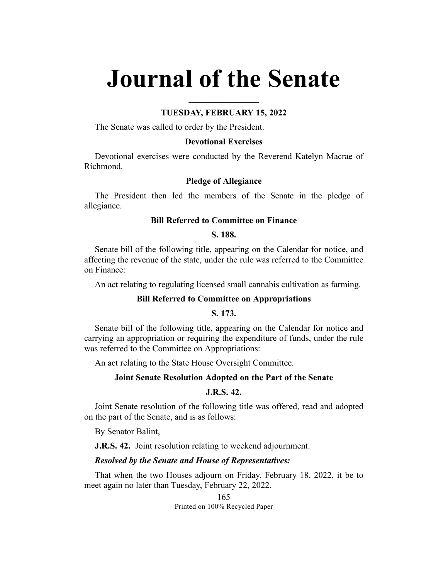# **Journal of the Senate**

## **TUESDAY, FEBRUARY 15, 2022**

**\_\_\_\_\_\_\_\_\_\_\_\_\_\_\_\_**

The Senate was called to order by the President.

## **Devotional Exercises**

Devotional exercises were conducted by the Reverend Katelyn Macrae of Richmond.

## **Pledge of Allegiance**

The President then led the members of the Senate in the pledge of allegiance.

### **Bill Referred to Committee on Finance**

# **S. 188.**

Senate bill of the following title, appearing on the Calendar for notice, and affecting the revenue of the state, under the rule was referred to the Committee on Finance:

An act relating to regulating licensed small cannabis cultivation as farming.

# **Bill Referred to Committee on Appropriations**

**S. 173.**

Senate bill of the following title, appearing on the Calendar for notice and carrying an appropriation or requiring the expenditure of funds, under the rule was referred to the Committee on Appropriations:

An act relating to the State House Oversight Committee.

## **Joint Senate Resolution Adopted on the Part of the Senate**

# **J.R.S. 42.**

Joint Senate resolution of the following title was offered, read and adopted on the part of the Senate, and is as follows:

By Senator Balint,

**J.R.S. 42.** Joint resolution relating to weekend adjournment.

#### *Resolved by the Senate and House of Representatives:*

That when the two Houses adjourn on Friday, February 18, 2022, it be to meet again no later than Tuesday, February 22, 2022.

> 165 Printed on 100% Recycled Paper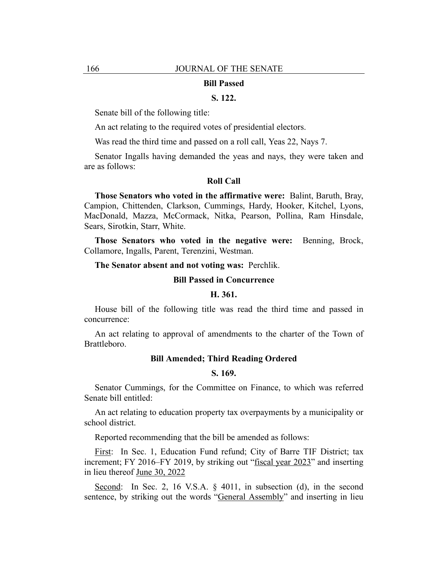#### **Bill Passed**

## **S. 122.**

Senate bill of the following title:

An act relating to the required votes of presidential electors.

Was read the third time and passed on a roll call, Yeas 22, Nays 7.

Senator Ingalls having demanded the yeas and nays, they were taken and are as follows:

#### **Roll Call**

**Those Senators who voted in the affirmative were:** Balint, Baruth, Bray, Campion, Chittenden, Clarkson, Cummings, Hardy, Hooker, Kitchel, Lyons, MacDonald, Mazza, McCormack, Nitka, Pearson, Pollina, Ram Hinsdale, Sears, Sirotkin, Starr, White.

**Those Senators who voted in the negative were:** Benning, Brock, Collamore, Ingalls, Parent, Terenzini, Westman.

### **The Senator absent and not voting was:** Perchlik.

#### **Bill Passed in Concurrence**

## **H. 361.**

House bill of the following title was read the third time and passed in concurrence:

An act relating to approval of amendments to the charter of the Town of Brattleboro.

## **Bill Amended; Third Reading Ordered**

#### **S. 169.**

Senator Cummings, for the Committee on Finance, to which was referred Senate bill entitled:

An act relating to education property tax overpayments by a municipality or school district.

Reported recommending that the bill be amended as follows:

First: In Sec. 1, Education Fund refund; City of Barre TIF District; tax increment; FY 2016–FY 2019, by striking out "fiscal year 2023" and inserting in lieu thereof June 30, 2022

Second: In Sec. 2, 16 V.S.A. § 4011, in subsection (d), in the second sentence, by striking out the words "General Assembly" and inserting in lieu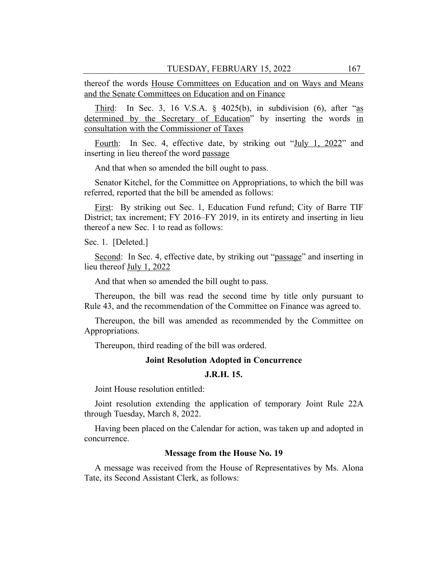thereof the words House Committees on Education and on Ways and Means and the Senate Committees on Education and on Finance

Third: In Sec. 3, 16 V.S.A.  $\S$  4025(b), in subdivision (6), after "as determined by the Secretary of Education" by inserting the words in consultation with the Commissioner of Taxes

Fourth: In Sec. 4, effective date, by striking out "July 1, 2022" and inserting in lieu thereof the word passage

And that when so amended the bill ought to pass.

Senator Kitchel, for the Committee on Appropriations, to which the bill was referred, reported that the bill be amended as follows:

First: By striking out Sec. 1, Education Fund refund; City of Barre TIF District; tax increment; FY 2016–FY 2019, in its entirety and inserting in lieu thereof a new Sec. 1 to read as follows:

Sec. 1. [Deleted.]

Second: In Sec. 4, effective date, by striking out "passage" and inserting in lieu thereof July 1, 2022

And that when so amended the bill ought to pass.

Thereupon, the bill was read the second time by title only pursuant to Rule 43, and the recommendation of the Committee on Finance was agreed to.

Thereupon, the bill was amended as recommended by the Committee on Appropriations.

Thereupon, third reading of the bill was ordered.

## **Joint Resolution Adopted in Concurrence**

# **J.R.H. 15.**

Joint House resolution entitled:

Joint resolution extending the application of temporary Joint Rule 22A through Tuesday, March 8, 2022.

Having been placed on the Calendar for action, was taken up and adopted in concurrence.

#### **Message from the House No. 19**

A message was received from the House of Representatives by Ms. Alona Tate, its Second Assistant Clerk, as follows: